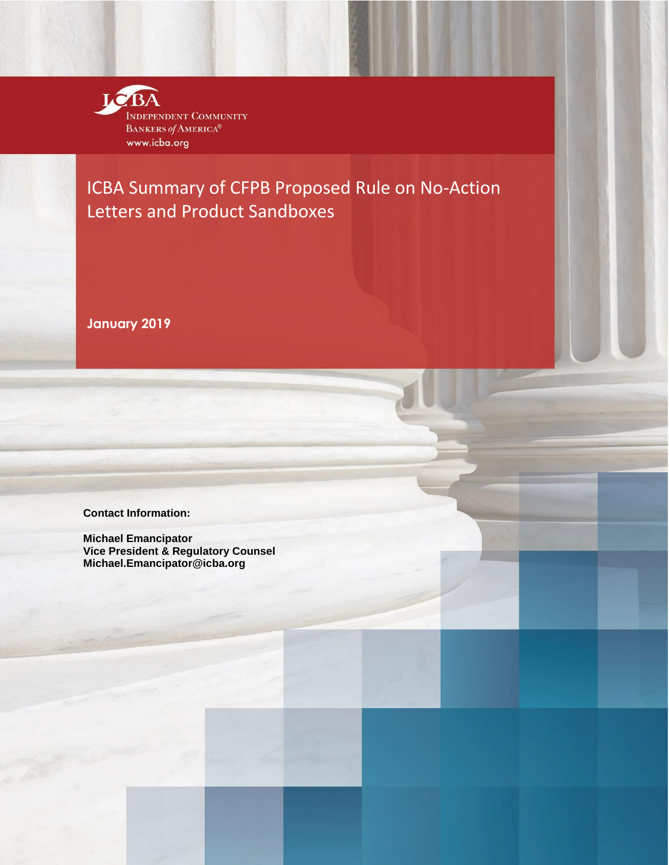

ICBA Summary of CFPB Proposed Rule on No-Action Letters and Product Sandboxes

**January 2019**

**Contact Information:** 

**Michael Emancipator Vice President & Regulatory Counsel [Michael.Emancipator@icba.org](mailto:Michael.Emancipator@icba.org)**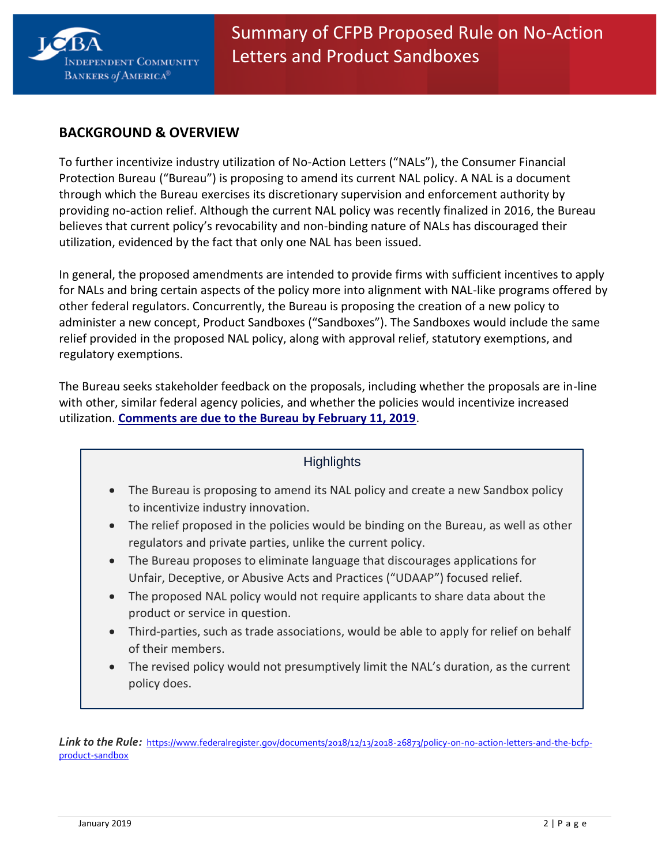

# **BACKGROUND & OVERVIEW**

To further incentivize industry utilization of No-Action Letters ("NALs"), the Consumer Financial Protection Bureau ("Bureau") is proposing to amend its current NAL policy. A NAL is a document through which the Bureau exercises its discretionary supervision and enforcement authority by providing no-action relief. Although the current NAL policy was recently finalized in 2016, the Bureau believes that current policy's revocability and non-binding nature of NALs has discouraged their utilization, evidenced by the fact that only one NAL has been issued.

In general, the proposed amendments are intended to provide firms with sufficient incentives to apply for NALs and bring certain aspects of the policy more into alignment with NAL-like programs offered by other federal regulators. Concurrently, the Bureau is proposing the creation of a new policy to administer a new concept, Product Sandboxes ("Sandboxes"). The Sandboxes would include the same relief provided in the proposed NAL policy, along with approval relief, statutory exemptions, and regulatory exemptions.

The Bureau seeks stakeholder feedback on the proposals, including whether the proposals are in-line with other, similar federal agency policies, and whether the policies would incentivize increased utilization. **[Comments are due to the Bureau by February 11, 2019](http://www.regulations.gov/#!submitComment;D=CFPB-2018-0042-0001)**.

## **Highlights**

- The Bureau is proposing to amend its NAL policy and create a new Sandbox policy to incentivize industry innovation.
- The relief proposed in the policies would be binding on the Bureau, as well as other regulators and private parties, unlike the current policy.
- The Bureau proposes to eliminate language that discourages applications for Unfair, Deceptive, or Abusive Acts and Practices ("UDAAP") focused relief.
- The proposed NAL policy would not require applicants to share data about the product or service in question.
- Third-parties, such as trade associations, would be able to apply for relief on behalf of their members.
- The revised policy would not presumptively limit the NAL's duration, as the current policy does.

*Link to the Rule:* https://www.federalregister.gov/documents/2018/12/13/2018-26873/policy-on-no-action-letters-and-the-bcfpproduct-sandbox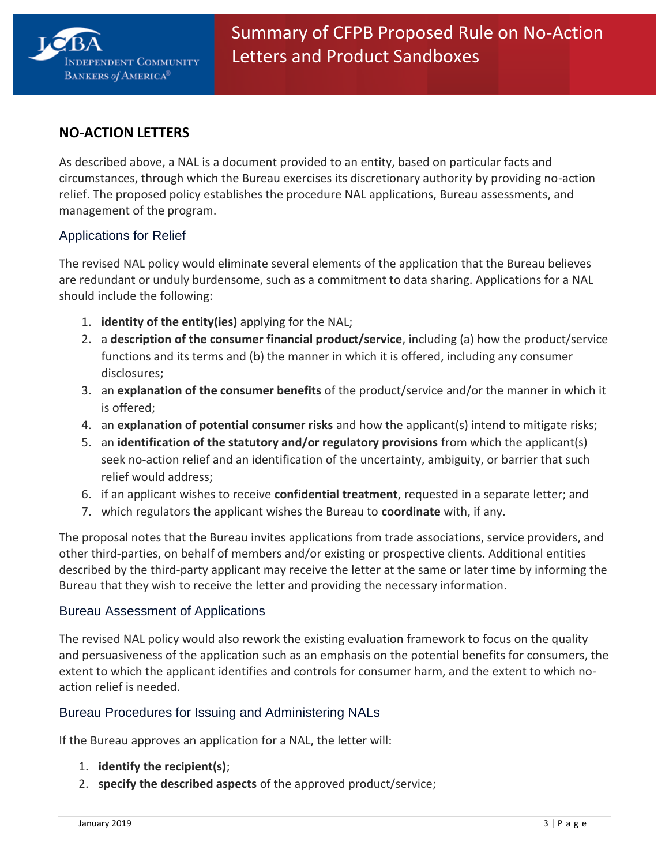

# **NO-ACTION LETTERS**

As described above, a NAL is a document provided to an entity, based on particular facts and circumstances, through which the Bureau exercises its discretionary authority by providing no-action relief. The proposed policy establishes the procedure NAL applications, Bureau assessments, and management of the program.

### Applications for Relief

The revised NAL policy would eliminate several elements of the application that the Bureau believes are redundant or unduly burdensome, such as a commitment to data sharing. Applications for a NAL should include the following:

- 1. **identity of the entity(ies)** applying for the NAL;
- 2. a **description of the consumer financial product/service**, including (a) how the product/service functions and its terms and (b) the manner in which it is offered, including any consumer disclosures;
- 3. an **explanation of the consumer benefits** of the product/service and/or the manner in which it is offered;
- 4. an **explanation of potential consumer risks** and how the applicant(s) intend to mitigate risks;
- 5. an **identification of the statutory and/or regulatory provisions** from which the applicant(s) seek no-action relief and an identification of the uncertainty, ambiguity, or barrier that such relief would address;
- 6. if an applicant wishes to receive **confidential treatment**, requested in a separate letter; and
- 7. which regulators the applicant wishes the Bureau to **coordinate** with, if any.

The proposal notes that the Bureau invites applications from trade associations, service providers, and other third-parties, on behalf of members and/or existing or prospective clients. Additional entities described by the third-party applicant may receive the letter at the same or later time by informing the Bureau that they wish to receive the letter and providing the necessary information.

#### Bureau Assessment of Applications

The revised NAL policy would also rework the existing evaluation framework to focus on the quality and persuasiveness of the application such as an emphasis on the potential benefits for consumers, the extent to which the applicant identifies and controls for consumer harm, and the extent to which noaction relief is needed.

### Bureau Procedures for Issuing and Administering NALs

If the Bureau approves an application for a NAL, the letter will:

- 1. **identify the recipient(s)**;
- 2. **specify the described aspects** of the approved product/service;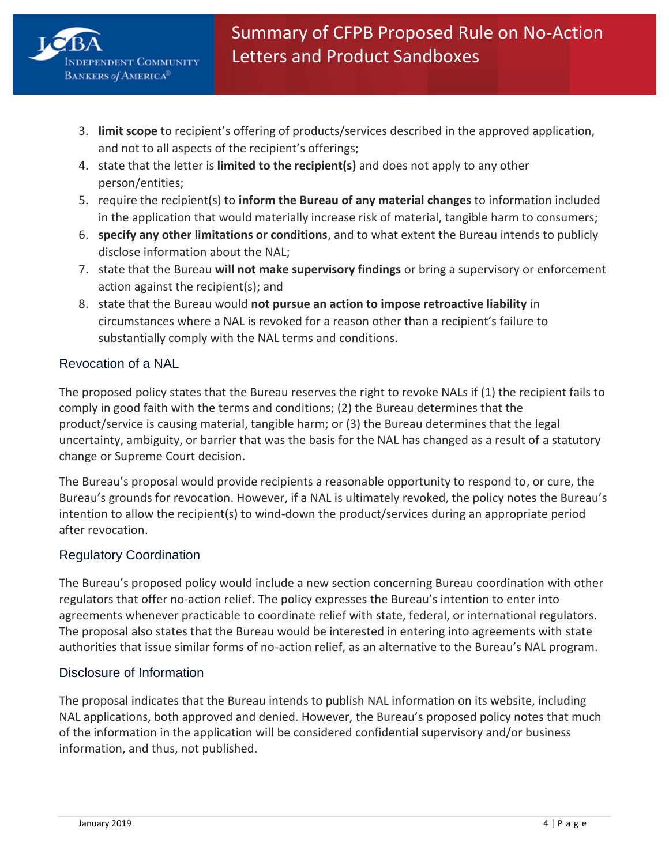

- 3. **limit scope** to recipient's offering of products/services described in the approved application, and not to all aspects of the recipient's offerings;
- 4. state that the letter is **limited to the recipient(s)** and does not apply to any other person/entities;
- 5. require the recipient(s) to **inform the Bureau of any material changes** to information included in the application that would materially increase risk of material, tangible harm to consumers;
- 6. **specify any other limitations or conditions**, and to what extent the Bureau intends to publicly disclose information about the NAL;
- 7. state that the Bureau **will not make supervisory findings** or bring a supervisory or enforcement action against the recipient(s); and
- 8. state that the Bureau would **not pursue an action to impose retroactive liability** in circumstances where a NAL is revoked for a reason other than a recipient's failure to substantially comply with the NAL terms and conditions.

### Revocation of a NAL

The proposed policy states that the Bureau reserves the right to revoke NALs if (1) the recipient fails to comply in good faith with the terms and conditions; (2) the Bureau determines that the product/service is causing material, tangible harm; or (3) the Bureau determines that the legal uncertainty, ambiguity, or barrier that was the basis for the NAL has changed as a result of a statutory change or Supreme Court decision.

The Bureau's proposal would provide recipients a reasonable opportunity to respond to, or cure, the Bureau's grounds for revocation. However, if a NAL is ultimately revoked, the policy notes the Bureau's intention to allow the recipient(s) to wind-down the product/services during an appropriate period after revocation.

### Regulatory Coordination

The Bureau's proposed policy would include a new section concerning Bureau coordination with other regulators that offer no-action relief. The policy expresses the Bureau's intention to enter into agreements whenever practicable to coordinate relief with state, federal, or international regulators. The proposal also states that the Bureau would be interested in entering into agreements with state authorities that issue similar forms of no-action relief, as an alternative to the Bureau's NAL program.

### Disclosure of Information

The proposal indicates that the Bureau intends to publish NAL information on its website, including NAL applications, both approved and denied. However, the Bureau's proposed policy notes that much of the information in the application will be considered confidential supervisory and/or business information, and thus, not published.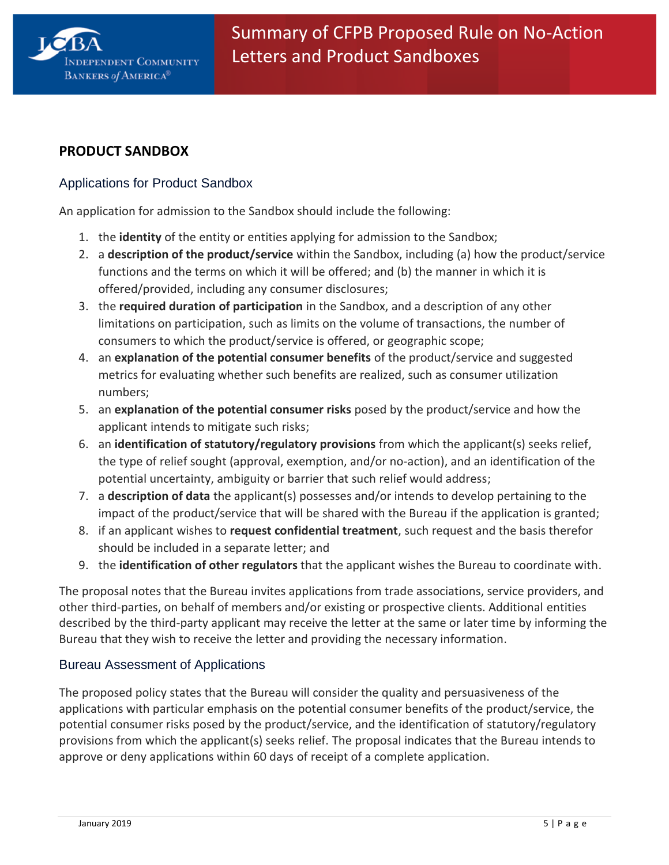

# **PRODUCT SANDBOX**

### Applications for Product Sandbox

An application for admission to the Sandbox should include the following:

- 1. the **identity** of the entity or entities applying for admission to the Sandbox;
- 2. a **description of the product/service** within the Sandbox, including (a) how the product/service functions and the terms on which it will be offered; and (b) the manner in which it is offered/provided, including any consumer disclosures;
- 3. the **required duration of participation** in the Sandbox, and a description of any other limitations on participation, such as limits on the volume of transactions, the number of consumers to which the product/service is offered, or geographic scope;
- 4. an **explanation of the potential consumer benefits** of the product/service and suggested metrics for evaluating whether such benefits are realized, such as consumer utilization numbers;
- 5. an **explanation of the potential consumer risks** posed by the product/service and how the applicant intends to mitigate such risks;
- 6. an **identification of statutory/regulatory provisions** from which the applicant(s) seeks relief, the type of relief sought (approval, exemption, and/or no-action), and an identification of the potential uncertainty, ambiguity or barrier that such relief would address;
- 7. a **description of data** the applicant(s) possesses and/or intends to develop pertaining to the impact of the product/service that will be shared with the Bureau if the application is granted;
- 8. if an applicant wishes to **request confidential treatment**, such request and the basis therefor should be included in a separate letter; and
- 9. the **identification of other regulators** that the applicant wishes the Bureau to coordinate with.

The proposal notes that the Bureau invites applications from trade associations, service providers, and other third-parties, on behalf of members and/or existing or prospective clients. Additional entities described by the third-party applicant may receive the letter at the same or later time by informing the Bureau that they wish to receive the letter and providing the necessary information.

### Bureau Assessment of Applications

The proposed policy states that the Bureau will consider the quality and persuasiveness of the applications with particular emphasis on the potential consumer benefits of the product/service, the potential consumer risks posed by the product/service, and the identification of statutory/regulatory provisions from which the applicant(s) seeks relief. The proposal indicates that the Bureau intends to approve or deny applications within 60 days of receipt of a complete application.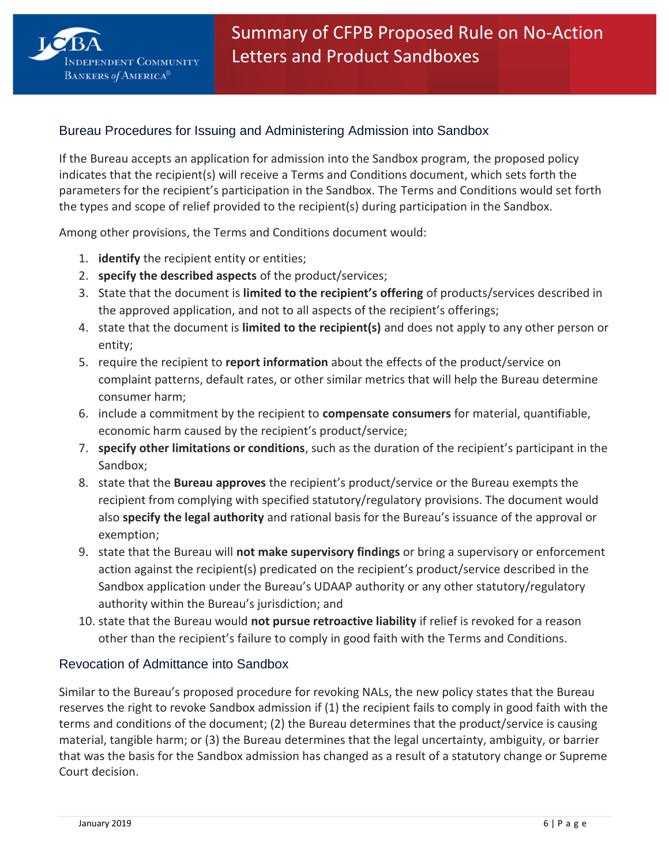

### Bureau Procedures for Issuing and Administering Admission into Sandbox

If the Bureau accepts an application for admission into the Sandbox program, the proposed policy indicates that the recipient(s) will receive a Terms and Conditions document, which sets forth the parameters for the recipient's participation in the Sandbox. The Terms and Conditions would set forth the types and scope of relief provided to the recipient(s) during participation in the Sandbox.

Among other provisions, the Terms and Conditions document would:

- 1. **identify** the recipient entity or entities;
- 2. **specify the described aspects** of the product/services;
- 3. State that the document is **limited to the recipient's offering** of products/services described in the approved application, and not to all aspects of the recipient's offerings;
- 4. state that the document is **limited to the recipient(s)** and does not apply to any other person or entity;
- 5. require the recipient to **report information** about the effects of the product/service on complaint patterns, default rates, or other similar metrics that will help the Bureau determine consumer harm;
- 6. include a commitment by the recipient to **compensate consumers** for material, quantifiable, economic harm caused by the recipient's product/service;
- 7. **specify other limitations or conditions**, such as the duration of the recipient's participant in the Sandbox;
- 8. state that the **Bureau approves** the recipient's product/service or the Bureau exempts the recipient from complying with specified statutory/regulatory provisions. The document would also **specify the legal authority** and rational basis for the Bureau's issuance of the approval or exemption;
- 9. state that the Bureau will **not make supervisory findings** or bring a supervisory or enforcement action against the recipient(s) predicated on the recipient's product/service described in the Sandbox application under the Bureau's UDAAP authority or any other statutory/regulatory authority within the Bureau's jurisdiction; and
- 10. state that the Bureau would **not pursue retroactive liability** if relief is revoked for a reason other than the recipient's failure to comply in good faith with the Terms and Conditions.

### Revocation of Admittance into Sandbox

Similar to the Bureau's proposed procedure for revoking NALs, the new policy states that the Bureau reserves the right to revoke Sandbox admission if (1) the recipient fails to comply in good faith with the terms and conditions of the document; (2) the Bureau determines that the product/service is causing material, tangible harm; or (3) the Bureau determines that the legal uncertainty, ambiguity, or barrier that was the basis for the Sandbox admission has changed as a result of a statutory change or Supreme Court decision.